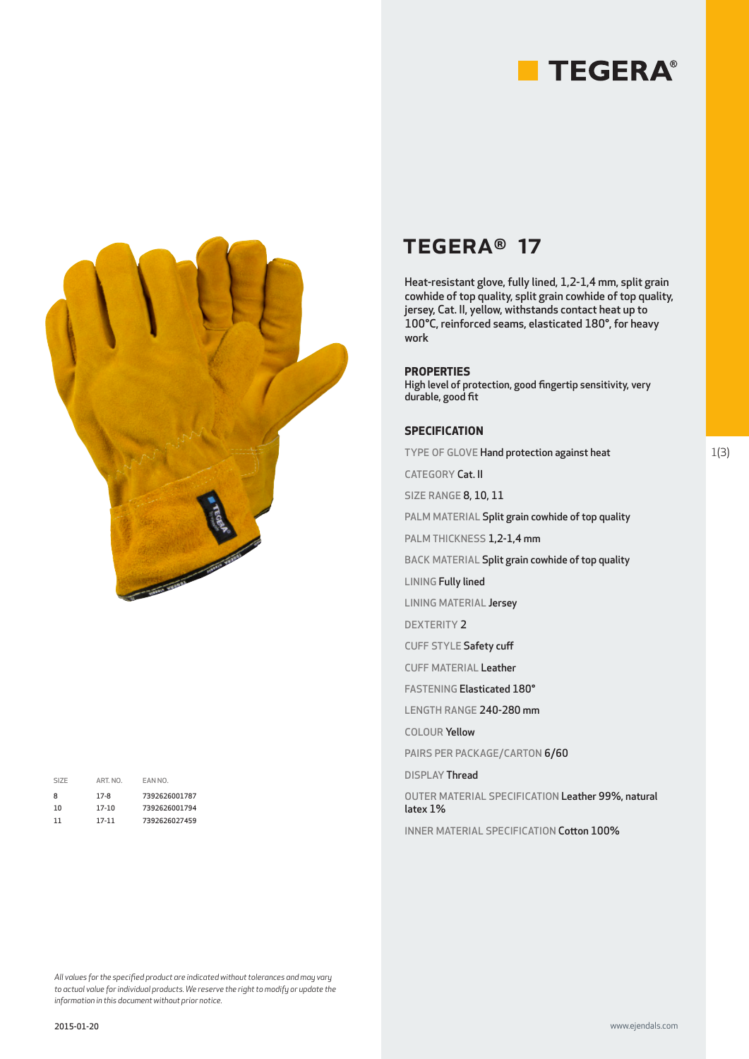



| SIZE | ART. NO. | EAN NO.       |
|------|----------|---------------|
| 8    | $17-8$   | 7392626001787 |
| 10   | 17-10    | 7392626001794 |
| 11   | 17-11    | 7392626027459 |
|      |          |               |

# TEGERA® 17

Heat-resistant glove, fully lined, 1,2-1,4 mm, split grain cowhide of top quality, split grain cowhide of top quality, jersey, Cat. II, yellow, withstands contact heat up to 100°C, reinforced seams, elasticated 180°, for heavy work

#### **PROPERTIES**

High level of protection, good fingertip sensitivity, very durable, good fit

## **SPECIFICATION**

TYPE OF GLOVE Hand protection against heat

CATEGORY Cat. II

SIZE RANGE 8, 10, 11

PALM MATERIAL Split grain cowhide of top quality

PALM THICKNESS 1,2-1,4 mm

BACK MATERIAL Split grain cowhide of top quality

LINING Fully lined

LINING MATERIAL Jersey

DEXTERITY 2

CUFF STYLE Safety cuff

CUFF MATERIAL Leather

FASTENING Elasticated 180°

LENGTH RANGE 240-280 mm

COLOUR Yellow

PAIRS PER PACKAGE/CARTON 6/60

DISPLAY Thread

OUTER MATERIAL SPECIFICATION Leather 99%, natural latex 1%

INNER MATERIAL SPECIFICATION Cotton 100%

*All values for the specified product are indicated without tolerances and may vary to actual value for individual products. We reserve the right to modify or update the information in this document without prior notice.*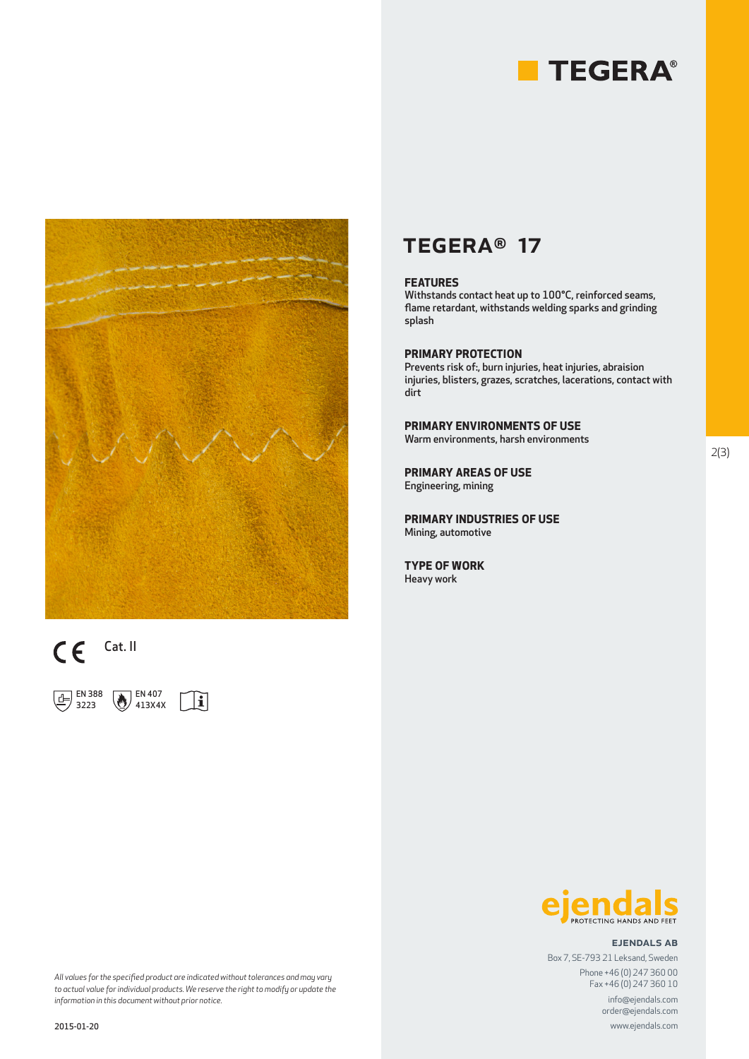





 EN 388 3223



## TEGERA® 17

## **FEATURES**

Withstands contact heat up to 100°C, reinforced seams, flame retardant, withstands welding sparks and grinding splash

## **PRIMARY PROTECTION**

Prevents risk of:, burn injuries, heat injuries, abraision injuries, blisters, grazes, scratches, lacerations, contact with dirt

**PRIMARY ENVIRONMENTS OF USE** Warm environments, harsh environments

**PRIMARY AREAS OF USE** Engineering, mining

**PRIMARY INDUSTRIES OF USE** Mining, automotive

**TYPE OF WORK** Heavy work



#### ejendals ab

www.ejendals.com

order@ejendals.com

Box 7, SE-793 21 Leksand, Sweden Phone +46 (0) 247 360 00 Fax +46 (0) 247 360 10 info@ejendals.com

*All values for the specified product are indicated without tolerances and may vary to actual value for individual products. We reserve the right to modify or update the information in this document without prior notice.*